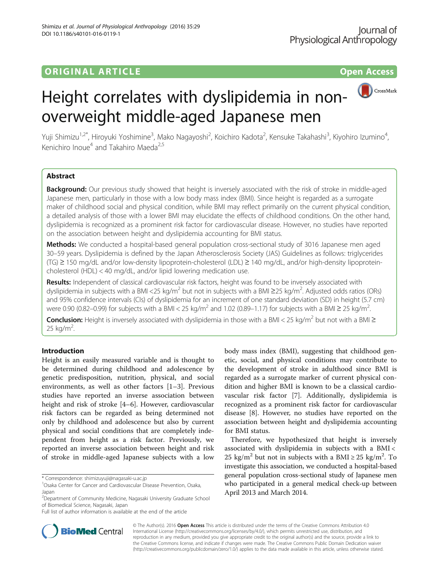## ORIGINAL ARTICLE **CONSERVANCE CONSERVANCE CONSERVANCE CONSERVANCE CONSERVANCE CONSERVANCE CONSERVANCE CONSERVANCE**



# Height correlates with dyslipidemia in nonoverweight middle-aged Japanese men

Yuji Shimizu<sup>1,2\*</sup>, Hiroyuki Yoshimine<sup>3</sup>, Mako Nagayoshi<sup>2</sup>, Koichiro Kadota<sup>2</sup>, Kensuke Takahashi<sup>3</sup>, Kiyohiro Izumino<sup>4</sup> , Kenichiro Inoue<sup>4</sup> and Takahiro Maeda<sup>2,5</sup>

## Abstract

Background: Our previous study showed that height is inversely associated with the risk of stroke in middle-aged Japanese men, particularly in those with a low body mass index (BMI). Since height is regarded as a surrogate maker of childhood social and physical condition, while BMI may reflect primarily on the current physical condition, a detailed analysis of those with a lower BMI may elucidate the effects of childhood conditions. On the other hand, dyslipidemia is recognized as a prominent risk factor for cardiovascular disease. However, no studies have reported on the association between height and dyslipidemia accounting for BMI status.

Methods: We conducted a hospital-based general population cross-sectional study of 3016 Japanese men aged 30–59 years. Dyslipidemia is defined by the Japan Atherosclerosis Society (JAS) Guidelines as follows: triglycerides (TG) ≥ 150 mg/dL and/or low-density lipoprotein-cholesterol (LDL) ≥ 140 mg/dL, and/or high-density lipoproteincholesterol (HDL) < 40 mg/dL, and/or lipid lowering medication use.

Results: Independent of classical cardiovascular risk factors, height was found to be inversely associated with dyslipidemia in subjects with a BMI <25 kg/m<sup>2</sup> but not in subjects with a BMI ≥25 kg/m<sup>2</sup>. Adjusted odds ratios (ORs) and 95% confidence intervals (CIs) of dyslipidemia for an increment of one standard deviation (SD) in height (5.7 cm) were 0.90 (0.82–0.99) for subjects with a BMI < 25 kg/m<sup>2</sup> and 1.02 (0.89–1.17) for subjects with a BMI  $\geq$  25 kg/m<sup>2</sup>. .

**Conclusion:** Height is inversely associated with dyslipidemia in those with a BMI < 25 kg/m<sup>2</sup> but not with a BMI  $\geq$ 25 kg/m<sup>2</sup>. .

## Introduction

Height is an easily measured variable and is thought to be determined during childhood and adolescence by genetic predisposition, nutrition, physical, and social environments, as well as other factors [[1](#page-4-0)–[3](#page-5-0)]. Previous studies have reported an inverse association between height and risk of stroke [[4](#page-5-0)–[6\]](#page-5-0). However, cardiovascular risk factors can be regarded as being determined not only by childhood and adolescence but also by current physical and social conditions that are completely independent from height as a risk factor. Previously, we reported an inverse association between height and risk of stroke in middle-aged Japanese subjects with a low

\* Correspondence: [shimizuyuji@nagasaki-u.ac.jp](mailto:shimizuyuji@nagasaki-u.ac.jp) <sup>1</sup>

<sup>2</sup> Department of Community Medicine, Nagasaki University Graduate School of Biomedical Science, Nagasaki, Japan

body mass index (BMI), suggesting that childhood genetic, social, and physical conditions may contribute to the development of stroke in adulthood since BMI is regarded as a surrogate marker of current physical condition and higher BMI is known to be a classical cardiovascular risk factor [\[7](#page-5-0)]. Additionally, dyslipidemia is recognized as a prominent risk factor for cardiovascular disease [\[8](#page-5-0)]. However, no studies have reported on the association between height and dyslipidemia accounting for BMI status.

Therefore, we hypothesized that height is inversely associated with dyslipidemia in subjects with a BMI < 25 kg/m<sup>2</sup> but not in subjects with a BMI  $\geq$  25 kg/m<sup>2</sup>. To investigate this association, we conducted a hospital-based general population cross-sectional study of Japanese men who participated in a general medical check-up between April 2013 and March 2014.



© The Author(s). 2016 Open Access This article is distributed under the terms of the Creative Commons Attribution 4.0 International License [\(http://creativecommons.org/licenses/by/4.0/](http://creativecommons.org/licenses/by/4.0/)), which permits unrestricted use, distribution, and reproduction in any medium, provided you give appropriate credit to the original author(s) and the source, provide a link to the Creative Commons license, and indicate if changes were made. The Creative Commons Public Domain Dedication waiver [\(http://creativecommons.org/publicdomain/zero/1.0/](http://creativecommons.org/publicdomain/zero/1.0/)) applies to the data made available in this article, unless otherwise stated.

<sup>&</sup>lt;sup>1</sup>Osaka Center for Cancer and Cardiovascular Disease Prevention, Osaka, Japan

Full list of author information is available at the end of the article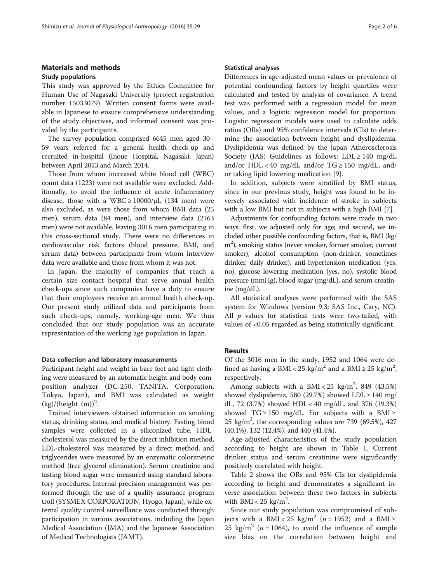## Materials and methods

#### Study populations

This study was approved by the Ethics Committee for Human Use of Nagasaki University (project registration number 15033079). Written consent forms were available in Japanese to ensure comprehensive understanding of the study objectives, and informed consent was provided by the participants.

The survey population comprised 6645 men aged 30– 59 years referred for a general health check-up and recruited in-hospital (Inoue Hospital, Nagasaki, Japan) between April 2013 and March 2014.

Those from whom increased white blood cell (WBC) count data (1223) were not available were excluded. Additionally, to avoid the influence of acute inflammatory disease, those with a WBC  $\geq$  10000/ $\mu$ L (134 men) were also excluded, as were those from whom BMI data (25 men), serum data (84 men), and interview data (2163 men) were not available, leaving 3016 men participating in this cross-sectional study. There were no differences in cardiovascular risk factors (blood pressure, BMI, and serum data) between participants from whom interview data were available and those from whom it was not.

In Japan, the majority of companies that reach a certain size contact hospital that serve annual health check-ups since such companies have a duty to ensure that their employees receive an annual health check-up. Our present study utilized data and participants from such check-ups, namely, working-age men. We thus concluded that our study population was an accurate representation of the working age population in Japan.

### Data collection and laboratory measurements

Participant height and weight in bare feet and light clothing were measured by an automatic height and body composition analyzer (DC-250, TANITA, Corporation, Tokyo, Japan), and BMI was calculated as weight  $(kg)/(height (m))<sup>2</sup>$ .

Trained interviewers obtained information on smoking status, drinking status, and medical history. Fasting blood samples were collected in a siliconized tube. HDLcholesterol was measured by the direct inhibition method, LDL-cholesterol was measured by a direct method, and triglycerides were measured by an enzymatic colorimetric method (free glycerol elimination). Serum creatinine and fasting blood sugar were measured using standard laboratory procedures. Internal precision management was performed through the use of a quality assurance program troll (SYSMEX CORPORATION, Hyogo, Japan), while external quality control surveillance was conducted through participation in various associations, including the Japan Medical Association (JMA) and the Japanese Association of Medical Technologists (JAMT).

## Statistical analyses

Differences in age-adjusted mean values or prevalence of potential confounding factors by height quartiles were calculated and tested by analysis of covariance. A trend test was performed with a regression model for mean values, and a logistic regression model for proportion. Logistic regression models were used to calculate odds ratios (ORs) and 95% confidence intervals (CIs) to determine the association between height and dyslipidemia. Dyslipidemia was defined by the Japan Atherosclerosis Society (JAS) Guidelines as follows: LDL  $\geq$  140 mg/dL and/or  $HDL < 40$  mg/dL and/or TG  $\geq 150$  mg/dL, and/ or taking lipid lowering medication [\[9](#page-5-0)].

In addition, subjects were stratified by BMI status, since in our previous study, height was found to be inversely associated with incidence of stroke in subjects with a low BMI but not in subjects with a high BMI [\[7](#page-5-0)].

Adjustments for confounding factors were made in two ways; first, we adjusted only for age; and second, we included other possible confounding factors, that is, BMI (kg/ m2 ), smoking status (never smoker, former smoker, current smoker), alcohol consumption (non-drinker, sometimes drinker, daily drinker), anti-hypertension medication (yes, no), glucose lowering medication (yes, no), systolic blood pressure (mmHg), blood sugar (mg/dL), and serum creatinine (mg/dL).

All statistical analyses were performed with the SAS system for Windows (version 9.3; SAS Inc., Cary, NC). All  $p$  values for statistical tests were two-tailed, with values of <0.05 regarded as being statistically significant.

## Results

Of the 3016 men in the study, 1952 and 1064 were defined as having a BMI < 25 kg/m<sup>2</sup> and a BMI  $\geq$  25 kg/m<sup>2</sup>, respectively.

Among subjects with a  $BMI < 25$  kg/m<sup>2</sup>, 849 (43.5%) showed dyslipidemia, 580 (29.7%) showed LDL  $\geq$  140 mg/ dL, 72 (3.7%) showed HDL < 40 mg/dL. and 376 (19.3%) showed TG ≥ 150 mg/dL. For subjects with a BMI ≥  $25 \text{ kg/m}^2$ , the corresponding values are 739 (69.5%), 427 (40.1%), 132 (12.4%), and 440 (41.4%).

Age-adjusted characteristics of the study population according to height are shown in Table [1.](#page-2-0) Current drinker status and serum creatinine were significantly positively correlated with height.

Table [2](#page-2-0) shows the ORs and 95% CIs for dyslipidemia according to height and demonstrates a significant inverse association between these two factors in subjects with  $BMI < 25$  kg/m<sup>2</sup>.

Since our study population was compromised of subjects with a BMI < 25 kg/m<sup>2</sup> ( $n = 1952$ ) and a BMI ≥ 25 kg/m<sup>2</sup> (*n* = 1064), to avoid the influence of sample size bias on the correlation between height and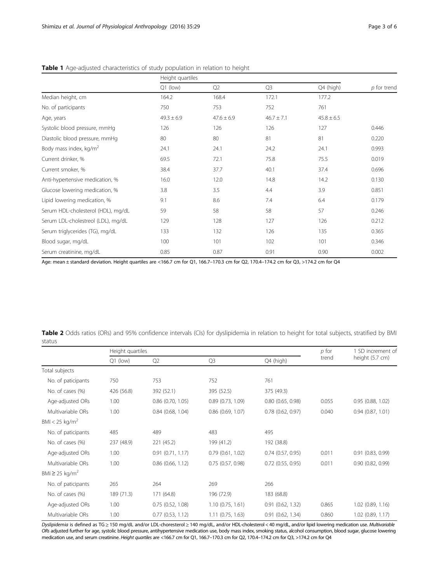|                                    | Height quartiles |                |                |                |               |  |
|------------------------------------|------------------|----------------|----------------|----------------|---------------|--|
|                                    | $Q1$ (low)       | Q2             | Q <sub>3</sub> | Q4 (high)      | $p$ for trend |  |
| Median height, cm                  | 164.2            | 168.4          | 172.1          | 177.2          |               |  |
| No. of participants                | 750              | 753            | 752            | 761            |               |  |
| Age, years                         | $49.3 \pm 6.9$   | $47.6 \pm 6.9$ | $46.7 \pm 7.1$ | $45.8 \pm 6.5$ |               |  |
| Systolic blood pressure, mmHg      | 126              | 126            | 126            | 127            | 0.446         |  |
| Diastolic blood pressure, mmHg     | 80               | 80             | 81             | 81             | 0.220         |  |
| Body mass index, kg/m <sup>2</sup> | 24.1             | 24.1           | 24.2           | 24.1           | 0.993         |  |
| Current drinker, %                 | 69.5             | 72.1           | 75.8           | 75.5           | 0.019         |  |
| Current smoker, %                  | 38.4             | 37.7           | 40.1           | 37.4           | 0.696         |  |
| Anti-hypertensive medication, %    | 16.0             | 12.0           | 14.8           | 14.2           | 0.130         |  |
| Glucose lowering medication, %     | 3.8              | 3.5            | 4.4            | 3.9            | 0.851         |  |
| Lipid lowering medication, %       | 9.1              | 8.6            | 7.4            | 6.4            | 0.179         |  |
| Serum HDL-cholesterol (HDL), mg/dL | 59               | 58             | 58             | 57             | 0.246         |  |
| Serum LDL-cholestreol (LDL), mg/dL | 129              | 128            | 127            | 126            | 0.212         |  |
| Serum triglycerides (TG), mg/dL    | 133              | 132            | 126            | 135            | 0.365         |  |
| Blood sugar, mg/dL                 | 100              | 101            | 102            | 101            | 0.346         |  |
| Serum creatinine, mg/dL            | 0.85             | 0.87           | 0.91           | 0.90           | 0.002         |  |

## <span id="page-2-0"></span>Table 1 Age-adjusted characteristics of study population in relation to height

Age: mean ± standard deviation. Height quartiles are <166.7 cm for Q1, 166.7–170.3 cm for Q2, 170.4–174.2 cm for Q3, >174.2 cm for Q4

| Table 2 Odds ratios (ORs) and 95% confidence intervals (CIs) for dyslipidemia in relation to height for total subjects, stratified by BMI |  |  |  |  |  |
|-------------------------------------------------------------------------------------------------------------------------------------------|--|--|--|--|--|
| status                                                                                                                                    |  |  |  |  |  |

|                                 | Height quartiles |                       |                  | p for                 | SD increment of |                     |  |
|---------------------------------|------------------|-----------------------|------------------|-----------------------|-----------------|---------------------|--|
|                                 | $Q1$ (low)       | Q2                    | Q <sub>3</sub>   | Q4 (high)             | trend           | height (5.7 cm)     |  |
| Total subjects                  |                  |                       |                  |                       |                 |                     |  |
| No. of paticipants              | 750              | 753                   | 752              | 761                   |                 |                     |  |
| No. of cases (%)                | 426 (56.8)       | 392 (52.1)            | 395 (52.5)       | 375 (49.3)            |                 |                     |  |
| Age-adjusted ORs                | 1.00             | $0.86$ $(0.70, 1.05)$ | 0.89(0.73, 1.09) | $0.80$ $(0.65, 0.98)$ | 0.055           |                     |  |
| Multivariable ORs               | 1.00             | $0.84$ (0.68, 1.04)   | 0.86(0.69, 1.07) | 0.78(0.62, 0.97)      | 0.040           | 0.94(0.87, 1.01)    |  |
| BMI < 25 kg/m <sup>2</sup>      |                  |                       |                  |                       |                 |                     |  |
| No. of paticipants              | 485              | 489                   | 483              | 495                   |                 |                     |  |
| No. of cases (%)                | 237 (48.9)       | 221 (45.2)            | 199 (41.2)       | 192 (38.8)            |                 |                     |  |
| Age-adjusted ORs                | 1.00             | 0.91(0.71, 1.17)      | 0.79(0.61, 1.02) | $0.74$ $(0.57, 0.95)$ | 0.011           |                     |  |
| Multivariable ORs               | 1.00             | $0.86$ (0.66, 1.12)   | 0.75(0.57, 0.98) | $0.72$ $(0.55, 0.95)$ | 0.011           | 0.90(0.82, 0.99)    |  |
| BMI $\geq$ 25 kg/m <sup>2</sup> |                  |                       |                  |                       |                 |                     |  |
| No. of paticipants              | 265              | 264                   | 269              | 266                   |                 |                     |  |
| No. of cases (%)                | 189 (71.3)       | 171 (64.8)            | 196 (72.9)       | 183 (68.8)            |                 |                     |  |
| Age-adjusted ORs                | 1.00             | 0.75(0.52, 1.08)      | 1.10(0.75, 1.61) | 0.91(0.62, 1.32)      | 0.865           |                     |  |
| Multivariable ORs               | 1.00             | 0.77(0.53, 1.12)      | 1.11(0.75, 1.63) | $0.91$ $(0.62, 1.34)$ | 0.860           | $1.02$ (0.89, 1.17) |  |

Dyslipidemia is defined as TG ≥ 150 mg/dL and/or LDL-choresterol ≥ 140 mg/dL, and/or HDL-cholesterol < 40 mg/dL, and/or lipid lowering medication use. Multivariable ORs adjusted further for age, systolic blood pressure, antihypertensive medication use, body mass index, smoking status, alcohol consumption, blood sugar, glucose lowering medication use, and serum creatinine. Height quartiles are <166.7 cm for Q1, 166.7–170.3 cm for Q2, 170.4–174.2 cm for Q3, >174.2 cm for Q4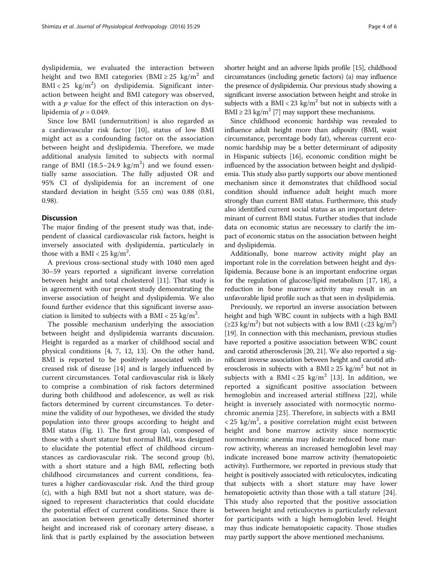dyslipidemia, we evaluated the interaction between height and two BMI categories (BMI  $\geq$  25 kg/m<sup>2</sup> and  $\text{BMI} < 25 \text{ kg/m}^2$ ) on dyslipidemia. Significant interaction between height and BMI category was observed, with a  $p$  value for the effect of this interaction on dyslipidemia of  $p = 0.049$ .

Since low BMI (undernutrition) is also regarded as a cardiovascular risk factor [[10\]](#page-5-0), status of low BMI might act as a confounding factor on the association between height and dyslipidemia. Therefore, we made additional analysis limited to subjects with normal range of BMI  $(18.5-24.9 \text{ kg/m}^2)$  and we found essentially same association. The fully adjusted OR and 95% CI of dyslipidemia for an increment of one standard deviation in height (5.55 cm) was 0.88 (0.81, 0.98).

## **Discussion**

The major finding of the present study was that, independent of classical cardiovascular risk factors, height is inversely associated with dyslipidemia, particularly in those with a  $\text{BMI} < 25 \text{ kg/m}^2$ .

A previous cross-sectional study with 1040 men aged 30–59 years reported a significant inverse correlation between height and total cholesterol [\[11](#page-5-0)]. That study is in agreement with our present study demonstrating the inverse association of height and dyslipidemia. We also found further evidence that this significant inverse association is limited to subjects with a BMI <  $25 \text{ kg/m}^2$ .

The possible mechanism underlying the association between height and dyslipidemia warrants discussion. Height is regarded as a marker of childhood social and physical conditions [\[4, 7, 12, 13\]](#page-5-0). On the other hand, BMI is reported to be positively associated with increased risk of disease [[14](#page-5-0)] and is largely influenced by current circumstances. Total cardiovascular risk is likely to comprise a combination of risk factors determined during both childhood and adolescence, as well as risk factors determined by current circumstances. To determine the validity of our hypotheses, we divided the study population into three groups according to height and BMI status (Fig. [1](#page-4-0)). The first group (a), composed of those with a short stature but normal BMI, was designed to elucidate the potential effect of childhood circumstances as cardiovascular risk. The second group (b), with a short stature and a high BMI, reflecting both childhood circumstances and current conditions, features a higher cardiovascular risk. And the third group (c), with a high BMI but not a short stature, was designed to represent characteristics that could elucidate the potential effect of current conditions. Since there is an association between genetically determined shorter height and increased risk of coronary artery disease, a link that is partly explained by the association between shorter height and an adverse lipids profile [[15](#page-5-0)], childhood circumstances (including genetic factors) (a) may influence the presence of dyslipidemia. Our previous study showing a significant inverse association between height and stroke in subjects with a BMI < 23 kg/m<sup>2</sup> but not in subjects with a BMI  $\geq$  23 kg/m<sup>2</sup> [\[7](#page-5-0)] may support these mechanisms.

Since childhood economic hardship was revealed to influence adult height more than adiposity (BMI, waist circumstance, percentage body fat), whereas current economic hardship may be a better determinant of adiposity in Hispanic subjects [\[16\]](#page-5-0), economic condition might be influenced by the association between height and dyslipidemia. This study also partly supports our above mentioned mechanism since it demonstrates that childhood social condition should influence adult height much more strongly than current BMI status. Furthermore, this study also identified current social status as an important determinant of current BMI status. Further studies that include data on economic status are necessary to clarify the impact of economic status on the association between height and dyslipidemia.

Additionally, bone marrow activity might play an important role in the correlation between height and dyslipidemia. Because bone is an important endocrine organ for the regulation of glucose/lipid metabolism [\[17, 18](#page-5-0)], a reduction in bone marrow activity may result in an unfavorable lipid profile such as that seen in dyslipidemia.

Previously, we reported an inverse association between height and high WBC count in subjects with a high BMI ( $\geq$ 23 kg/m<sup>2</sup>) but not subjects with a low BMI (<23 kg/m<sup>2</sup>) [[19](#page-5-0)]. In connection with this mechanism, previous studies have reported a positive association between WBC count and carotid atherosclerosis [\[20, 21\]](#page-5-0). We also reported a significant inverse association between height and carotid atherosclerosis in subjects with a BMI  $\geq$  25 kg/m<sup>2</sup> but not in subjects with a BMI < 25 kg/m<sup>2</sup> [[13\]](#page-5-0). In addition, we reported a significant positive association between hemoglobin and increased arterial stiffness [[22\]](#page-5-0), while height is inversely associated with normocytic normochromic anemia [[23\]](#page-5-0). Therefore, in subjects with a BMI  $<$  25 kg/m<sup>2</sup>, a positive correlation might exist between height and bone marrow activity since normocytic normochromic anemia may indicate reduced bone marrow activity, whereas an increased hemoglobin level may indicate increased bone marrow activity (hematopoietic activity). Furthermore, we reported in previous study that height is positively associated with reticulocytes, indicating that subjects with a short stature may have lower hematopoietic activity than those with a tall stature [\[24](#page-5-0)]. This study also reported that the positive association between height and reticulocytes is particularly relevant for participants with a high hemoglobin level. Height may thus indicate hematopoietic capacity. Those studies may partly support the above mentioned mechanisms.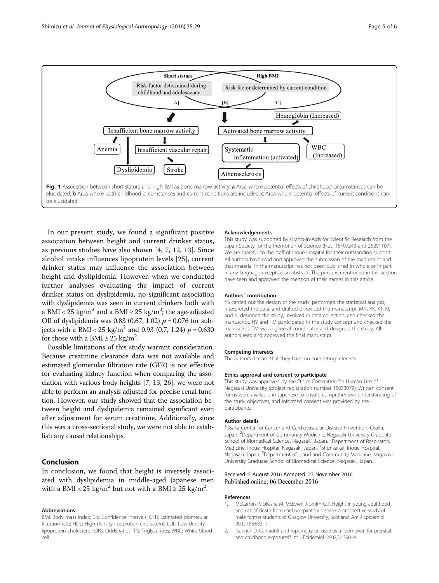<span id="page-4-0"></span>

In our present study, we found a significant positive association between height and current drinker status, as previous studies have also shown [[4, 7, 12](#page-5-0), [13\]](#page-5-0). Since alcohol intake influences lipoprotein levels [\[25](#page-5-0)], current drinker status may influence the association between height and dyslipidemia. However, when we conducted further analyses evaluating the impact of current drinker status on dyslipidemia, no significant association with dyslipidemia was seen in current drinkers both with a BMI < 25 kg/m<sup>2</sup> and a BMI ≥ 25 kg/m<sup>2</sup>; the age-adjusted OR of dyslipidemia was 0.83 (0.67, 1.02)  $p = 0.076$  for subjects with a BMI < 25 kg/m<sup>2</sup> and 0.93 (0.7, 1.24)  $p = 0.630$ for those with a BMI  $\geq$  25 kg/m<sup>2</sup>.

Possible limitations of this study warrant consideration. Because creatinine clearance data was not available and estimated glomerular filtration rate (GFR) is not effective for evaluating kidney function when comparing the association with various body heights [\[7](#page-5-0), [13](#page-5-0), [26](#page-5-0)], we were not able to perform an analysis adjusted for precise renal function. However, our study showed that the association between height and dyslipidemia remained significant even after adjustment for serum creatinine. Additionally, since this was a cross-sectional study, we were not able to establish any causal relationships.

## Conclusion

In conclusion, we found that height is inversely associated with dyslipidemia in middle-aged Japanese men with a BMI < 25 kg/m<sup>2</sup> but not with a BMI  $\geq$  25 kg/m<sup>2</sup>.

#### Abbreviations

BMI: Body mass index; CIs: Confidence intervals; GFR: Estimated glomerular filtration rate; HDL: High-density lipoprotein-cholesterol; LDL: Low-density lipoprotein-cholesterol; ORs: Odds ratios; TG: Triglycerides; WBC: White blood cell

#### Acknowledgements

This study was supported by Grants-in-Aids for Scientific Research from the Japan Society for the Promotion of Science (Nos. 15K07243 and 25291107). We are grateful to the staff of Inoue Hospital for their outstanding support. All authors have read and approved the submission of the manuscript and that material in the manuscript has not been published in whole or in part in any language except as an abstract. The persons mentioned in this section have seen and approved the mention of their names in this article.

#### Authors' contribution

YS carried out the design of the study, performed the statistical analysis, interpreted the data, and drafted or revised the manuscript. MN, KK, KT, KI, and KI designed the study, involved in data collection, and checked the manuscript. HY and TM participated in the study concept and checked the manuscript. TM was a general coordinator and designed the study. All authors read and approved the final manuscript.

#### Competing interests

The authors declare that they have no competing interests.

#### Ethics approval and consent to participate

This study was approved by the Ethics Committee for Human Use of Nagasaki University (project registration number 15033079). Written consent forms were available in Japanese to ensure comprehensive understanding of the study objectives, and informed consent was provided by the participants.

#### Author details

1 Osaka Center for Cancer and Cardiovascular Disease Prevention, Osaka, Japan. <sup>2</sup> Department of Community Medicine, Nagasaki University Graduate School of Biomedical Science, Nagasaki, Japan. <sup>3</sup>Department of Respiratory Medicine, Inoue Hospital, Nagasaki, Japan. <sup>4</sup>Shunkaikai, Inoue Hospital, Nagasaki, Japan. <sup>5</sup>Department of Island and Community Medicine, Nagasaki University Graduate School of Biomedical Science, Nagasaki, Japan.

## Received: 5 August 2016 Accepted: 23 November 2016 Published online: 06 December 2016

#### References

- 1. McCarron P, Okasha M, McEwen J, Smith GD. Height in young adulthood and risk of death from cardiorespiratory disease: a prospective study of male former students of Glasgow University, Scotland. Am J Epidemiol. 2002;155:683–7.
- 2. Gunnell D. Can adult anthropometry be used as a 'biomarker' for prenatal and childhood exposures? Int J Epidemiol. 2002;31:390–4.